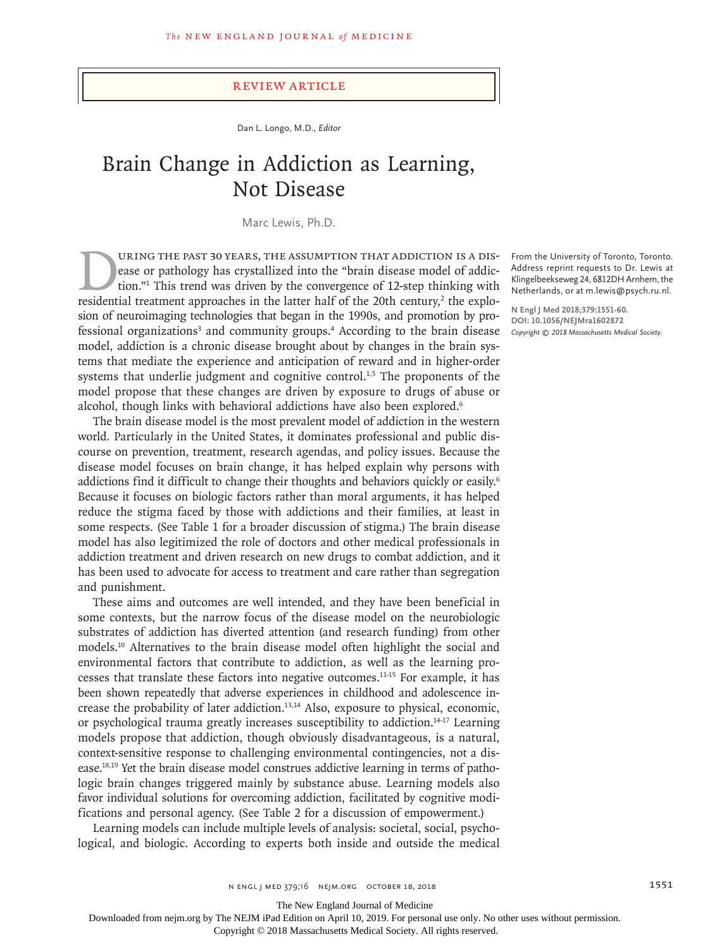#### Review Article

Dan L. Longo, M.D., *Editor*

# Brain Change in Addiction as Learning, Not Disease

Marc Lewis, Ph.D.

URING THE PAST 30 YEARS, THE ASSUMPTION THAT ADDICTION IS A DIS-<br>ease or pathology has crystallized into the "brain disease model of addic-<br>tion."<sup>1</sup> This trend was driven by the convergence of 12-step thinking with<br>reside ease or pathology has crystallized into the "brain disease model of addiction."1 This trend was driven by the convergence of 12-step thinking with residential treatment approaches in the latter half of the 20th century, $2$  the explosion of neuroimaging technologies that began in the 1990s, and promotion by professional organizations<sup>3</sup> and community groups.<sup>4</sup> According to the brain disease model, addiction is a chronic disease brought about by changes in the brain systems that mediate the experience and anticipation of reward and in higher-order systems that underlie judgment and cognitive control.<sup>1,5</sup> The proponents of the model propose that these changes are driven by exposure to drugs of abuse or alcohol, though links with behavioral addictions have also been explored.<sup>6</sup>

The brain disease model is the most prevalent model of addiction in the western world. Particularly in the United States, it dominates professional and public discourse on prevention, treatment, research agendas, and policy issues. Because the disease model focuses on brain change, it has helped explain why persons with addictions find it difficult to change their thoughts and behaviors quickly or easily.<sup>6</sup> Because it focuses on biologic factors rather than moral arguments, it has helped reduce the stigma faced by those with addictions and their families, at least in some respects. (See Table 1 for a broader discussion of stigma.) The brain disease model has also legitimized the role of doctors and other medical professionals in addiction treatment and driven research on new drugs to combat addiction, and it has been used to advocate for access to treatment and care rather than segregation and punishment.

These aims and outcomes are well intended, and they have been beneficial in some contexts, but the narrow focus of the disease model on the neurobiologic substrates of addiction has diverted attention (and research funding) from other models.10 Alternatives to the brain disease model often highlight the social and environmental factors that contribute to addiction, as well as the learning processes that translate these factors into negative outcomes.11-15 For example, it has been shown repeatedly that adverse experiences in childhood and adolescence increase the probability of later addiction.<sup>13,14</sup> Also, exposure to physical, economic, or psychological trauma greatly increases susceptibility to addiction.14-17 Learning models propose that addiction, though obviously disadvantageous, is a natural, context-sensitive response to challenging environmental contingencies, not a disease.18,19 Yet the brain disease model construes addictive learning in terms of pathologic brain changes triggered mainly by substance abuse. Learning models also favor individual solutions for overcoming addiction, facilitated by cognitive modifications and personal agency. (See Table 2 for a discussion of empowerment.)

Learning models can include multiple levels of analysis: societal, social, psychological, and biologic. According to experts both inside and outside the medical

From the University of Toronto, Toronto. Address reprint requests to Dr. Lewis at Klingelbeekseweg 24, 6812DH Arnhem, the Netherlands, or at m.lewis@psych.ru.nl.

**N Engl J Med 2018;379:1551-60. DOI: 10.1056/NEJMra1602872** *Copyright © 2018 Massachusetts Medical Society.*

The New England Journal of Medicine

Downloaded from nejm.org by The NEJM iPad Edition on April 10, 2019. For personal use only. No other uses without permission.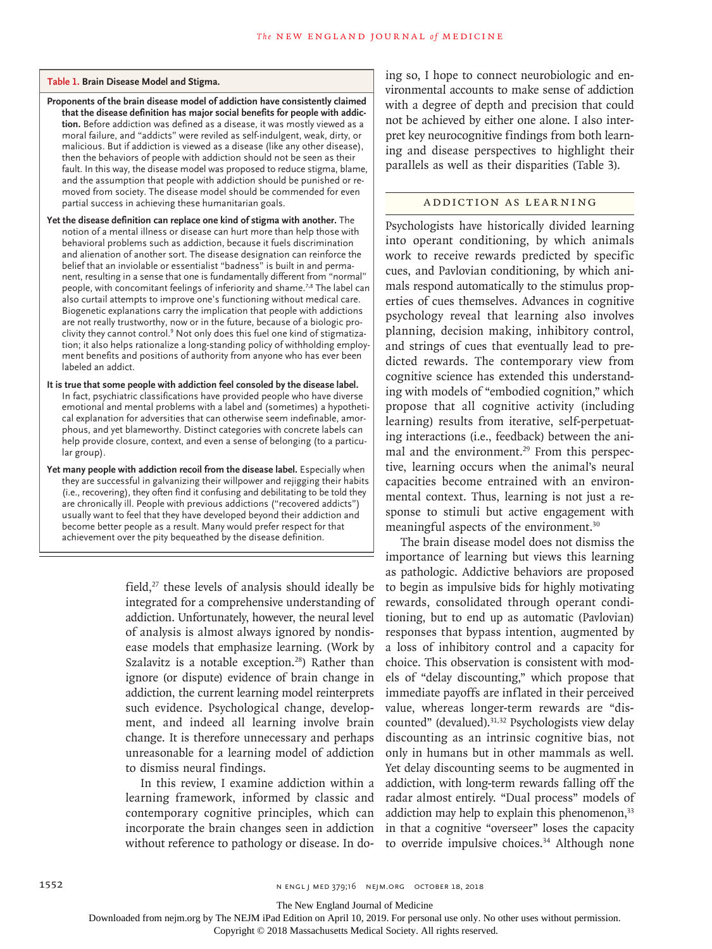#### **Table 1. Brain Disease Model and Stigma.**

- **Proponents of the brain disease model of addiction have consistently claimed that the disease definition has major social benefits for people with addiction.** Before addiction was defined as a disease, it was mostly viewed as a moral failure, and "addicts" were reviled as self-indulgent, weak, dirty, or malicious. But if addiction is viewed as a disease (like any other disease), then the behaviors of people with addiction should not be seen as their fault. In this way, the disease model was proposed to reduce stigma, blame, and the assumption that people with addiction should be punished or removed from society. The disease model should be commended for even partial success in achieving these humanitarian goals.
- **Yet the disease definition can replace one kind of stigma with another.** The notion of a mental illness or disease can hurt more than help those with behavioral problems such as addiction, because it fuels discrimination and alienation of another sort. The disease designation can reinforce the belief that an inviolable or essentialist "badness" is built in and permanent, resulting in a sense that one is fundamentally different from "normal" people, with concomitant feelings of inferiority and shame.<sup>7,8</sup> The label can also curtail attempts to improve one's functioning without medical care. Biogenetic explanations carry the implication that people with addictions are not really trustworthy, now or in the future, because of a biologic proclivity they cannot control.9 Not only does this fuel one kind of stigmatization; it also helps rationalize a long-standing policy of withholding employment benefits and positions of authority from anyone who has ever been labeled an addict.
- **It is true that some people with addiction feel consoled by the disease label.** In fact, psychiatric classifications have provided people who have diverse emotional and mental problems with a label and (sometimes) a hypothetical explanation for adversities that can otherwise seem indefinable, amorphous, and yet blameworthy. Distinct categories with concrete labels can help provide closure, context, and even a sense of belonging (to a particular group).
- **Yet many people with addiction recoil from the disease label.** Especially when they are successful in galvanizing their willpower and rejigging their habits (i.e., recovering), they often find it confusing and debilitating to be told they are chronically ill. People with previous addictions ("recovered addicts") usually want to feel that they have developed beyond their addiction and become better people as a result. Many would prefer respect for that achievement over the pity bequeathed by the disease definition.

field, $27$  these levels of analysis should ideally be integrated for a comprehensive understanding of addiction. Unfortunately, however, the neural level of analysis is almost always ignored by nondisease models that emphasize learning. (Work by Szalavitz is a notable exception.<sup>28</sup>) Rather than ignore (or dispute) evidence of brain change in addiction, the current learning model reinterprets such evidence. Psychological change, development, and indeed all learning involve brain change. It is therefore unnecessary and perhaps unreasonable for a learning model of addiction to dismiss neural findings.

In this review, I examine addiction within a learning framework, informed by classic and contemporary cognitive principles, which can incorporate the brain changes seen in addiction without reference to pathology or disease. In doing so, I hope to connect neurobiologic and environmental accounts to make sense of addiction with a degree of depth and precision that could not be achieved by either one alone. I also interpret key neurocognitive findings from both learning and disease perspectives to highlight their parallels as well as their disparities (Table 3).

### Addiction as Learning

Psychologists have historically divided learning into operant conditioning, by which animals work to receive rewards predicted by specific cues, and Pavlovian conditioning, by which animals respond automatically to the stimulus properties of cues themselves. Advances in cognitive psychology reveal that learning also involves planning, decision making, inhibitory control, and strings of cues that eventually lead to predicted rewards. The contemporary view from cognitive science has extended this understanding with models of "embodied cognition," which propose that all cognitive activity (including learning) results from iterative, self-perpetuating interactions (i.e., feedback) between the animal and the environment.<sup>29</sup> From this perspective, learning occurs when the animal's neural capacities become entrained with an environmental context. Thus, learning is not just a response to stimuli but active engagement with meaningful aspects of the environment.<sup>30</sup>

The brain disease model does not dismiss the importance of learning but views this learning as pathologic. Addictive behaviors are proposed to begin as impulsive bids for highly motivating rewards, consolidated through operant conditioning, but to end up as automatic (Pavlovian) responses that bypass intention, augmented by a loss of inhibitory control and a capacity for choice. This observation is consistent with models of "delay discounting," which propose that immediate payoffs are inflated in their perceived value, whereas longer-term rewards are "discounted" (devalued).<sup>31,32</sup> Psychologists view delay discounting as an intrinsic cognitive bias, not only in humans but in other mammals as well. Yet delay discounting seems to be augmented in addiction, with long-term rewards falling off the radar almost entirely. "Dual process" models of addiction may help to explain this phenomenon,<sup>33</sup> in that a cognitive "overseer" loses the capacity to override impulsive choices.<sup>34</sup> Although none

The New England Journal of Medicine

Downloaded from nejm.org by The NEJM iPad Edition on April 10, 2019. For personal use only. No other uses without permission.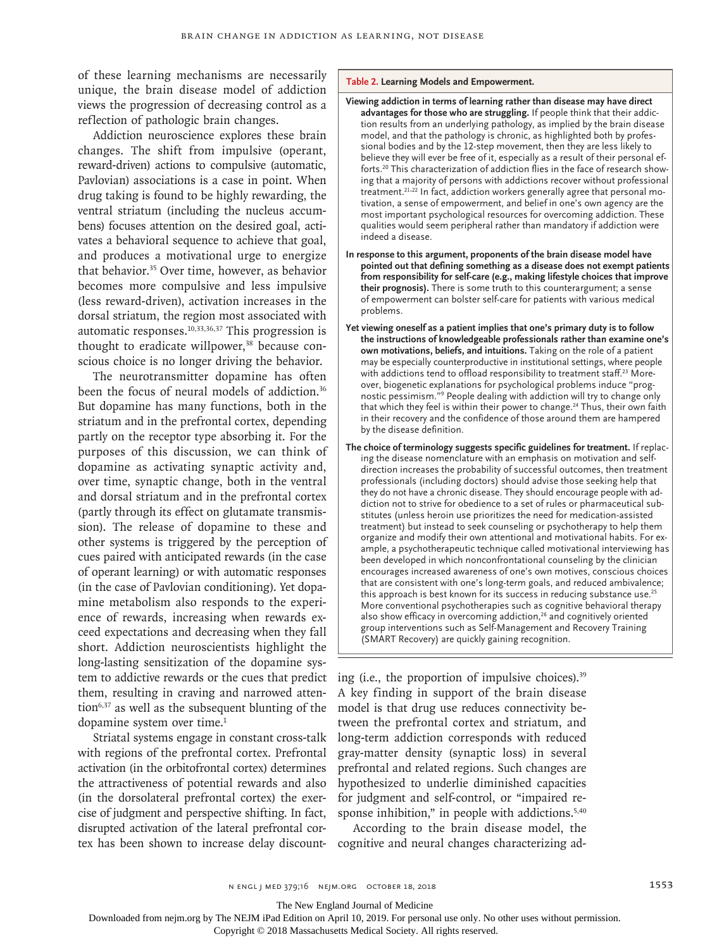of these learning mechanisms are necessarily unique, the brain disease model of addiction views the progression of decreasing control as a reflection of pathologic brain changes.

Addiction neuroscience explores these brain changes. The shift from impulsive (operant, reward-driven) actions to compulsive (automatic, Pavlovian) associations is a case in point. When drug taking is found to be highly rewarding, the ventral striatum (including the nucleus accumbens) focuses attention on the desired goal, activates a behavioral sequence to achieve that goal, and produces a motivational urge to energize that behavior.35 Over time, however, as behavior becomes more compulsive and less impulsive (less reward-driven), activation increases in the dorsal striatum, the region most associated with automatic responses.10,33,36,37 This progression is thought to eradicate willpower,<sup>38</sup> because conscious choice is no longer driving the behavior.

The neurotransmitter dopamine has often been the focus of neural models of addiction.<sup>36</sup> But dopamine has many functions, both in the striatum and in the prefrontal cortex, depending partly on the receptor type absorbing it. For the purposes of this discussion, we can think of dopamine as activating synaptic activity and, over time, synaptic change, both in the ventral and dorsal striatum and in the prefrontal cortex (partly through its effect on glutamate transmission). The release of dopamine to these and other systems is triggered by the perception of cues paired with anticipated rewards (in the case of operant learning) or with automatic responses (in the case of Pavlovian conditioning). Yet dopamine metabolism also responds to the experience of rewards, increasing when rewards exceed expectations and decreasing when they fall short. Addiction neuroscientists highlight the long-lasting sensitization of the dopamine system to addictive rewards or the cues that predict ing (i.e., the proportion of impulsive choices).<sup>39</sup> them, resulting in craving and narrowed attention $6,37$  as well as the subsequent blunting of the dopamine system over time.<sup>1</sup>

Striatal systems engage in constant cross-talk with regions of the prefrontal cortex. Prefrontal activation (in the orbitofrontal cortex) determines the attractiveness of potential rewards and also (in the dorsolateral prefrontal cortex) the exercise of judgment and perspective shifting. In fact, disrupted activation of the lateral prefrontal cortex has been shown to increase delay discount-

#### **Table 2. Learning Models and Empowerment.**

- **Viewing addiction in terms of learning rather than disease may have direct advantages for those who are struggling.** If people think that their addiction results from an underlying pathology, as implied by the brain disease model, and that the pathology is chronic, as highlighted both by professional bodies and by the 12-step movement, then they are less likely to believe they will ever be free of it, especially as a result of their personal efforts.20 This characterization of addiction flies in the face of research showing that a majority of persons with addictions recover without professional treatment.<sup>21,22</sup> In fact, addiction workers generally agree that personal motivation, a sense of empowerment, and belief in one's own agency are the most important psychological resources for overcoming addiction. These qualities would seem peripheral rather than mandatory if addiction were indeed a disease.
- **In response to this argument, proponents of the brain disease model have pointed out that defining something as a disease does not exempt patients from responsibility for self-care (e.g., making lifestyle choices that improve their prognosis).** There is some truth to this counterargument; a sense of empowerment can bolster self-care for patients with various medical problems.
- **Yet viewing oneself as a patient implies that one's primary duty is to follow the instructions of knowledgeable professionals rather than examine one's own motivations, beliefs, and intuitions.** Taking on the role of a patient may be especially counterproductive in institutional settings, where people with addictions tend to offload responsibility to treatment staff.<sup>23</sup> Moreover, biogenetic explanations for psychological problems induce "prognostic pessimism."9 People dealing with addiction will try to change only that which they feel is within their power to change.<sup>24</sup> Thus, their own faith in their recovery and the confidence of those around them are hampered by the disease definition.
- **The choice of terminology suggests specific guidelines for treatment.** If replacing the disease nomenclature with an emphasis on motivation and selfdirection increases the probability of successful outcomes, then treatment professionals (including doctors) should advise those seeking help that they do not have a chronic disease. They should encourage people with addiction not to strive for obedience to a set of rules or pharmaceutical substitutes (unless heroin use prioritizes the need for medication-assisted treatment) but instead to seek counseling or psychotherapy to help them organize and modify their own attentional and motivational habits. For example, a psychotherapeutic technique called motivational interviewing has been developed in which nonconfrontational counseling by the clinician encourages increased awareness of one's own motives, conscious choices that are consistent with one's long-term goals, and reduced ambivalence; this approach is best known for its success in reducing substance use.<sup>25</sup> More conventional psychotherapies such as cognitive behavioral therapy also show efficacy in overcoming addiction,<sup>26</sup> and cognitively oriented group interventions such as Self-Management and Recovery Training (SMART Recovery) are quickly gaining recognition.

A key finding in support of the brain disease model is that drug use reduces connectivity between the prefrontal cortex and striatum, and long-term addiction corresponds with reduced gray-matter density (synaptic loss) in several prefrontal and related regions. Such changes are hypothesized to underlie diminished capacities for judgment and self-control, or "impaired response inhibition," in people with addictions.<sup>5,40</sup>

According to the brain disease model, the cognitive and neural changes characterizing ad-

The New England Journal of Medicine

Downloaded from nejm.org by The NEJM iPad Edition on April 10, 2019. For personal use only. No other uses without permission.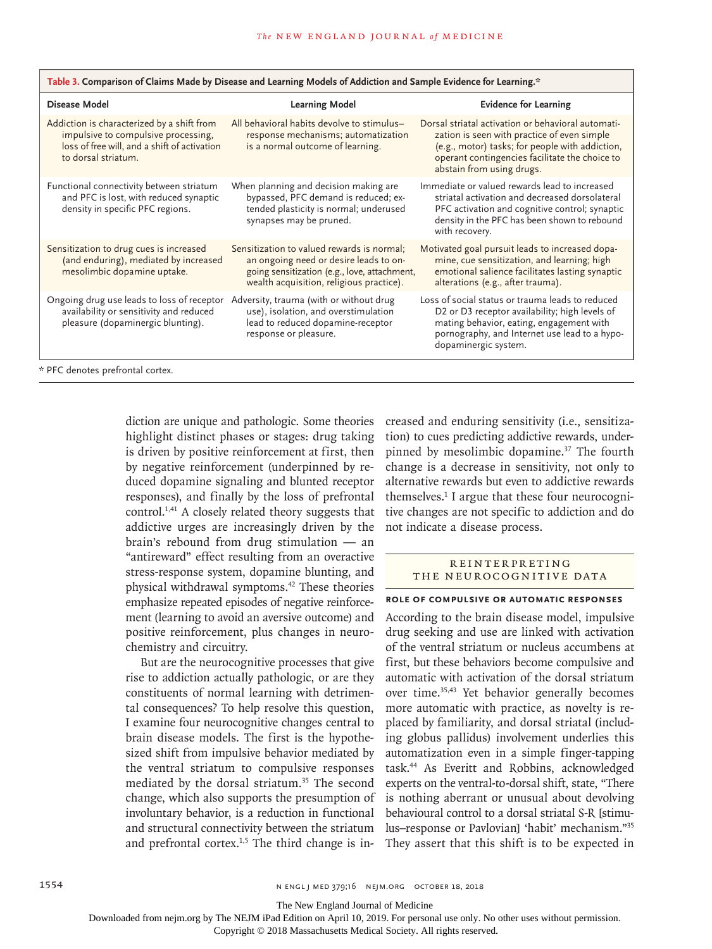| Table 3. Comparison of Claims Made by Disease and Learning Models of Addiction and Sample Evidence for Learning.*                                        |                                                                                                                                                                                  |                                                                                                                                                                                                                                     |
|----------------------------------------------------------------------------------------------------------------------------------------------------------|----------------------------------------------------------------------------------------------------------------------------------------------------------------------------------|-------------------------------------------------------------------------------------------------------------------------------------------------------------------------------------------------------------------------------------|
| Disease Model                                                                                                                                            | <b>Learning Model</b>                                                                                                                                                            | <b>Evidence for Learning</b>                                                                                                                                                                                                        |
| Addiction is characterized by a shift from<br>impulsive to compulsive processing,<br>loss of free will, and a shift of activation<br>to dorsal striatum. | All behavioral habits devolve to stimulus-<br>response mechanisms; automatization<br>is a normal outcome of learning.                                                            | Dorsal striatal activation or behavioral automati-<br>zation is seen with practice of even simple<br>(e.g., motor) tasks; for people with addiction,<br>operant contingencies facilitate the choice to<br>abstain from using drugs. |
| Functional connectivity between striatum<br>and PFC is lost, with reduced synaptic<br>density in specific PFC regions.                                   | When planning and decision making are<br>bypassed, PFC demand is reduced; ex-<br>tended plasticity is normal; underused<br>synapses may be pruned.                               | Immediate or valued rewards lead to increased<br>striatal activation and decreased dorsolateral<br>PFC activation and cognitive control; synaptic<br>density in the PFC has been shown to rebound<br>with recovery.                 |
| Sensitization to drug cues is increased<br>(and enduring), mediated by increased<br>mesolimbic dopamine uptake.                                          | Sensitization to valued rewards is normal;<br>an ongoing need or desire leads to on-<br>going sensitization (e.g., love, attachment,<br>wealth acquisition, religious practice). | Motivated goal pursuit leads to increased dopa-<br>mine, cue sensitization, and learning; high<br>emotional salience facilitates lasting synaptic<br>alterations (e.g., after trauma).                                              |
| Ongoing drug use leads to loss of receptor<br>availability or sensitivity and reduced<br>pleasure (dopaminergic blunting).                               | Adversity, trauma (with or without drug<br>use), isolation, and overstimulation<br>lead to reduced dopamine-receptor<br>response or pleasure.                                    | Loss of social status or trauma leads to reduced<br>D2 or D3 receptor availability; high levels of<br>mating behavior, eating, engagement with<br>pornography, and Internet use lead to a hypo-<br>dopaminergic system.             |
| * PFC denotes prefrontal cortex.                                                                                                                         |                                                                                                                                                                                  |                                                                                                                                                                                                                                     |

diction are unique and pathologic. Some theories highlight distinct phases or stages: drug taking is driven by positive reinforcement at first, then by negative reinforcement (underpinned by reduced dopamine signaling and blunted receptor responses), and finally by the loss of prefrontal control.1,41 A closely related theory suggests that addictive urges are increasingly driven by the brain's rebound from drug stimulation — an "antireward" effect resulting from an overactive stress-response system, dopamine blunting, and physical withdrawal symptoms.42 These theories emphasize repeated episodes of negative reinforcement (learning to avoid an aversive outcome) and positive reinforcement, plus changes in neurochemistry and circuitry.

But are the neurocognitive processes that give rise to addiction actually pathologic, or are they constituents of normal learning with detrimental consequences? To help resolve this question, I examine four neurocognitive changes central to brain disease models. The first is the hypothesized shift from impulsive behavior mediated by the ventral striatum to compulsive responses mediated by the dorsal striatum.<sup>35</sup> The second change, which also supports the presumption of involuntary behavior, is a reduction in functional and structural connectivity between the striatum and prefrontal cortex.<sup>1,5</sup> The third change is increased and enduring sensitivity (i.e., sensitization) to cues predicting addictive rewards, underpinned by mesolimbic dopamine.<sup>37</sup> The fourth change is a decrease in sensitivity, not only to alternative rewards but even to addictive rewards themselves.<sup>1</sup> I argue that these four neurocognitive changes are not specific to addiction and do not indicate a disease process.

# R ein ter pr e ting the Neurocognitive Data

## **Role of Compulsive or Automatic Responses**

According to the brain disease model, impulsive drug seeking and use are linked with activation of the ventral striatum or nucleus accumbens at first, but these behaviors become compulsive and automatic with activation of the dorsal striatum over time.35,43 Yet behavior generally becomes more automatic with practice, as novelty is replaced by familiarity, and dorsal striatal (including globus pallidus) involvement underlies this automatization even in a simple finger-tapping task.44 As Everitt and Robbins, acknowledged experts on the ventral-to-dorsal shift, state, "There is nothing aberrant or unusual about devolving behavioural control to a dorsal striatal S-R [stimulus–response or Pavlovian] 'habit' mechanism."35 They assert that this shift is to be expected in

The New England Journal of Medicine

Downloaded from nejm.org by The NEJM iPad Edition on April 10, 2019. For personal use only. No other uses without permission.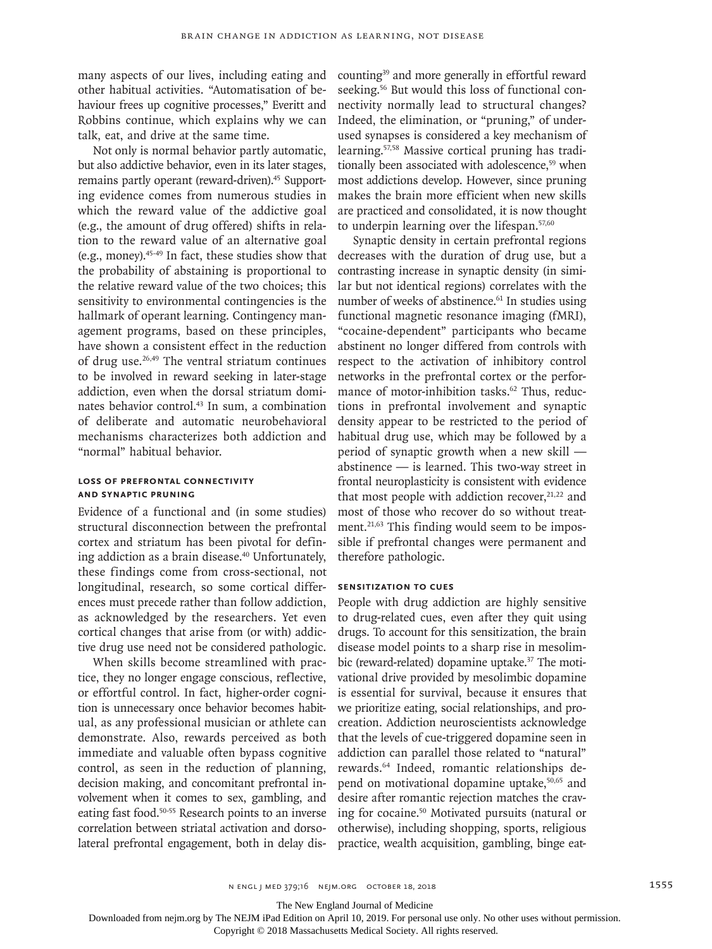many aspects of our lives, including eating and other habitual activities. "Automatisation of behaviour frees up cognitive processes," Everitt and Robbins continue, which explains why we can talk, eat, and drive at the same time.

Not only is normal behavior partly automatic, but also addictive behavior, even in its later stages, remains partly operant (reward-driven).<sup>45</sup> Supporting evidence comes from numerous studies in which the reward value of the addictive goal (e.g., the amount of drug offered) shifts in relation to the reward value of an alternative goal (e.g., money).45-49 In fact, these studies show that the probability of abstaining is proportional to the relative reward value of the two choices; this sensitivity to environmental contingencies is the hallmark of operant learning. Contingency management programs, based on these principles, have shown a consistent effect in the reduction of drug use. $26,49$  The ventral striatum continues to be involved in reward seeking in later-stage addiction, even when the dorsal striatum dominates behavior control.43 In sum, a combination of deliberate and automatic neurobehavioral mechanisms characterizes both addiction and "normal" habitual behavior.

## **Loss of Prefrontal Connectivity and Synaptic Pruning**

Evidence of a functional and (in some studies) structural disconnection between the prefrontal cortex and striatum has been pivotal for defining addiction as a brain disease.<sup>40</sup> Unfortunately, these findings come from cross-sectional, not longitudinal, research, so some cortical differences must precede rather than follow addiction, as acknowledged by the researchers. Yet even cortical changes that arise from (or with) addictive drug use need not be considered pathologic.

When skills become streamlined with practice, they no longer engage conscious, reflective, or effortful control. In fact, higher-order cognition is unnecessary once behavior becomes habitual, as any professional musician or athlete can demonstrate. Also, rewards perceived as both immediate and valuable often bypass cognitive control, as seen in the reduction of planning, decision making, and concomitant prefrontal involvement when it comes to sex, gambling, and eating fast food.<sup>50-55</sup> Research points to an inverse correlation between striatal activation and dorsolateral prefrontal engagement, both in delay discounting39 and more generally in effortful reward seeking.<sup>56</sup> But would this loss of functional connectivity normally lead to structural changes? Indeed, the elimination, or "pruning," of underused synapses is considered a key mechanism of learning.57,58 Massive cortical pruning has traditionally been associated with adolescence,<sup>59</sup> when most addictions develop. However, since pruning makes the brain more efficient when new skills are practiced and consolidated, it is now thought to underpin learning over the lifespan.<sup>57,60</sup>

Synaptic density in certain prefrontal regions decreases with the duration of drug use, but a contrasting increase in synaptic density (in similar but not identical regions) correlates with the number of weeks of abstinence.<sup>61</sup> In studies using functional magnetic resonance imaging (fMRI), "cocaine-dependent" participants who became abstinent no longer differed from controls with respect to the activation of inhibitory control networks in the prefrontal cortex or the performance of motor-inhibition tasks.<sup>62</sup> Thus, reductions in prefrontal involvement and synaptic density appear to be restricted to the period of habitual drug use, which may be followed by a period of synaptic growth when a new skill abstinence — is learned. This two-way street in frontal neuroplasticity is consistent with evidence that most people with addiction recover, $21,22$  and most of those who recover do so without treatment.<sup>21,63</sup> This finding would seem to be impossible if prefrontal changes were permanent and therefore pathologic.

#### **Sensitization to Cues**

People with drug addiction are highly sensitive to drug-related cues, even after they quit using drugs. To account for this sensitization, the brain disease model points to a sharp rise in mesolimbic (reward-related) dopamine uptake.<sup>37</sup> The motivational drive provided by mesolimbic dopamine is essential for survival, because it ensures that we prioritize eating, social relationships, and procreation. Addiction neuroscientists acknowledge that the levels of cue-triggered dopamine seen in addiction can parallel those related to "natural" rewards.64 Indeed, romantic relationships depend on motivational dopamine uptake,<sup>50,65</sup> and desire after romantic rejection matches the craving for cocaine.50 Motivated pursuits (natural or otherwise), including shopping, sports, religious practice, wealth acquisition, gambling, binge eat-

The New England Journal of Medicine

Downloaded from nejm.org by The NEJM iPad Edition on April 10, 2019. For personal use only. No other uses without permission.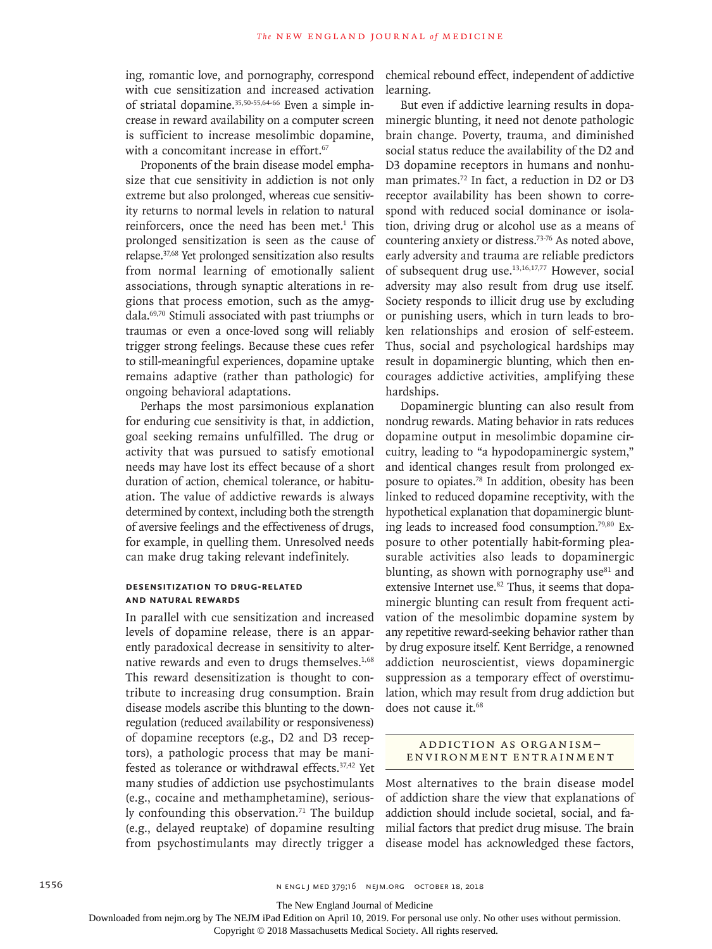ing, romantic love, and pornography, correspond with cue sensitization and increased activation of striatal dopamine.<sup>35,50-55,64-66</sup> Even a simple increase in reward availability on a computer screen is sufficient to increase mesolimbic dopamine, with a concomitant increase in effort.<sup>67</sup>

Proponents of the brain disease model emphasize that cue sensitivity in addiction is not only extreme but also prolonged, whereas cue sensitivity returns to normal levels in relation to natural reinforcers, once the need has been met. $1$  This prolonged sensitization is seen as the cause of relapse.37,68 Yet prolonged sensitization also results from normal learning of emotionally salient associations, through synaptic alterations in regions that process emotion, such as the amygdala.69,70 Stimuli associated with past triumphs or traumas or even a once-loved song will reliably trigger strong feelings. Because these cues refer to still-meaningful experiences, dopamine uptake remains adaptive (rather than pathologic) for ongoing behavioral adaptations.

Perhaps the most parsimonious explanation for enduring cue sensitivity is that, in addiction, goal seeking remains unfulfilled. The drug or activity that was pursued to satisfy emotional needs may have lost its effect because of a short duration of action, chemical tolerance, or habituation. The value of addictive rewards is always determined by context, including both the strength of aversive feelings and the effectiveness of drugs, for example, in quelling them. Unresolved needs can make drug taking relevant indefinitely.

#### **Desensitization to Drug-Related and Natural Rewards**

In parallel with cue sensitization and increased levels of dopamine release, there is an apparently paradoxical decrease in sensitivity to alternative rewards and even to drugs themselves.<sup>1,68</sup> This reward desensitization is thought to contribute to increasing drug consumption. Brain disease models ascribe this blunting to the downregulation (reduced availability or responsiveness) of dopamine receptors (e.g., D2 and D3 receptors), a pathologic process that may be manifested as tolerance or withdrawal effects.37,42 Yet many studies of addiction use psychostimulants (e.g., cocaine and methamphetamine), seriously confounding this observation.<sup>71</sup> The buildup (e.g., delayed reuptake) of dopamine resulting from psychostimulants may directly trigger a chemical rebound effect, independent of addictive learning.

But even if addictive learning results in dopaminergic blunting, it need not denote pathologic brain change. Poverty, trauma, and diminished social status reduce the availability of the D2 and D3 dopamine receptors in humans and nonhuman primates.<sup>72</sup> In fact, a reduction in D2 or D3 receptor availability has been shown to correspond with reduced social dominance or isolation, driving drug or alcohol use as a means of countering anxiety or distress.73-76 As noted above, early adversity and trauma are reliable predictors of subsequent drug use.13,16,17,77 However, social adversity may also result from drug use itself. Society responds to illicit drug use by excluding or punishing users, which in turn leads to broken relationships and erosion of self-esteem. Thus, social and psychological hardships may result in dopaminergic blunting, which then encourages addictive activities, amplifying these hardships.

Dopaminergic blunting can also result from nondrug rewards. Mating behavior in rats reduces dopamine output in mesolimbic dopamine circuitry, leading to "a hypodopaminergic system," and identical changes result from prolonged exposure to opiates.78 In addition, obesity has been linked to reduced dopamine receptivity, with the hypothetical explanation that dopaminergic blunting leads to increased food consumption.<sup>79,80</sup> Exposure to other potentially habit-forming pleasurable activities also leads to dopaminergic blunting, as shown with pornography use $81$  and extensive Internet use.<sup>82</sup> Thus, it seems that dopaminergic blunting can result from frequent activation of the mesolimbic dopamine system by any repetitive reward-seeking behavior rather than by drug exposure itself. Kent Berridge, a renowned addiction neuroscientist, views dopaminergic suppression as a temporary effect of overstimulation, which may result from drug addiction but does not cause it.<sup>68</sup>

## Addiction as Organism– Environment Entrainment

Most alternatives to the brain disease model of addiction share the view that explanations of addiction should include societal, social, and familial factors that predict drug misuse. The brain disease model has acknowledged these factors,

The New England Journal of Medicine

Downloaded from nejm.org by The NEJM iPad Edition on April 10, 2019. For personal use only. No other uses without permission.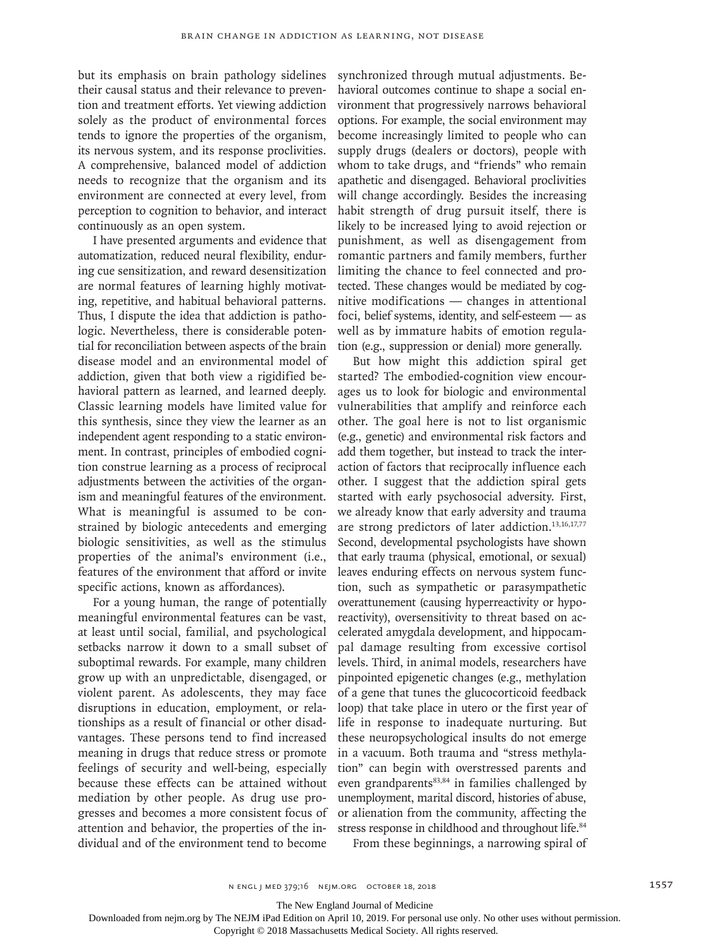but its emphasis on brain pathology sidelines their causal status and their relevance to prevention and treatment efforts. Yet viewing addiction solely as the product of environmental forces tends to ignore the properties of the organism, its nervous system, and its response proclivities. A comprehensive, balanced model of addiction needs to recognize that the organism and its environment are connected at every level, from perception to cognition to behavior, and interact continuously as an open system.

I have presented arguments and evidence that automatization, reduced neural flexibility, enduring cue sensitization, and reward desensitization are normal features of learning highly motivating, repetitive, and habitual behavioral patterns. Thus, I dispute the idea that addiction is pathologic. Nevertheless, there is considerable potential for reconciliation between aspects of the brain disease model and an environmental model of addiction, given that both view a rigidified behavioral pattern as learned, and learned deeply. Classic learning models have limited value for this synthesis, since they view the learner as an independent agent responding to a static environment. In contrast, principles of embodied cognition construe learning as a process of reciprocal adjustments between the activities of the organism and meaningful features of the environment. What is meaningful is assumed to be constrained by biologic antecedents and emerging biologic sensitivities, as well as the stimulus properties of the animal's environment (i.e., features of the environment that afford or invite specific actions, known as affordances).

For a young human, the range of potentially meaningful environmental features can be vast, at least until social, familial, and psychological setbacks narrow it down to a small subset of suboptimal rewards. For example, many children grow up with an unpredictable, disengaged, or violent parent. As adolescents, they may face disruptions in education, employment, or relationships as a result of financial or other disadvantages. These persons tend to find increased meaning in drugs that reduce stress or promote feelings of security and well-being, especially because these effects can be attained without mediation by other people. As drug use progresses and becomes a more consistent focus of attention and behavior, the properties of the individual and of the environment tend to become

synchronized through mutual adjustments. Behavioral outcomes continue to shape a social environment that progressively narrows behavioral options. For example, the social environment may become increasingly limited to people who can supply drugs (dealers or doctors), people with whom to take drugs, and "friends" who remain apathetic and disengaged. Behavioral proclivities will change accordingly. Besides the increasing habit strength of drug pursuit itself, there is likely to be increased lying to avoid rejection or punishment, as well as disengagement from romantic partners and family members, further limiting the chance to feel connected and protected. These changes would be mediated by cognitive modifications — changes in attentional foci, belief systems, identity, and self-esteem — as well as by immature habits of emotion regulation (e.g., suppression or denial) more generally.

But how might this addiction spiral get started? The embodied-cognition view encourages us to look for biologic and environmental vulnerabilities that amplify and reinforce each other. The goal here is not to list organismic (e.g., genetic) and environmental risk factors and add them together, but instead to track the interaction of factors that reciprocally influence each other. I suggest that the addiction spiral gets started with early psychosocial adversity. First, we already know that early adversity and trauma are strong predictors of later addiction.<sup>13,16,17,77</sup> Second, developmental psychologists have shown that early trauma (physical, emotional, or sexual) leaves enduring effects on nervous system function, such as sympathetic or parasympathetic overattunement (causing hyperreactivity or hyporeactivity), oversensitivity to threat based on accelerated amygdala development, and hippocampal damage resulting from excessive cortisol levels. Third, in animal models, researchers have pinpointed epigenetic changes (e.g., methylation of a gene that tunes the glucocorticoid feedback loop) that take place in utero or the first year of life in response to inadequate nurturing. But these neuropsychological insults do not emerge in a vacuum. Both trauma and "stress methylation" can begin with overstressed parents and even grandparents<sup>83,84</sup> in families challenged by unemployment, marital discord, histories of abuse, or alienation from the community, affecting the stress response in childhood and throughout life.<sup>84</sup> From these beginnings, a narrowing spiral of

The New England Journal of Medicine

Downloaded from nejm.org by The NEJM iPad Edition on April 10, 2019. For personal use only. No other uses without permission.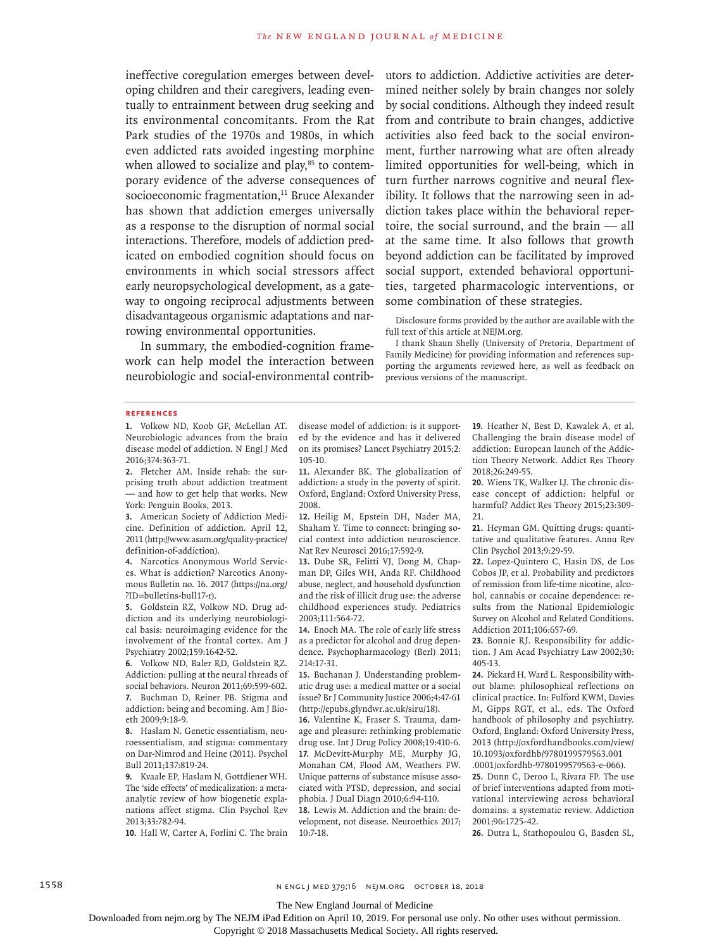ineffective coregulation emerges between developing children and their caregivers, leading eventually to entrainment between drug seeking and its environmental concomitants. From the Rat Park studies of the 1970s and 1980s, in which even addicted rats avoided ingesting morphine when allowed to socialize and play, $85$  to contemporary evidence of the adverse consequences of socioeconomic fragmentation,<sup>11</sup> Bruce Alexander has shown that addiction emerges universally as a response to the disruption of normal social interactions. Therefore, models of addiction predicated on embodied cognition should focus on environments in which social stressors affect early neuropsychological development, as a gateway to ongoing reciprocal adjustments between disadvantageous organismic adaptations and narrowing environmental opportunities.

In summary, the embodied-cognition framework can help model the interaction between neurobiologic and social-environmental contributors to addiction. Addictive activities are determined neither solely by brain changes nor solely by social conditions. Although they indeed result from and contribute to brain changes, addictive activities also feed back to the social environment, further narrowing what are often already limited opportunities for well-being, which in turn further narrows cognitive and neural flexibility. It follows that the narrowing seen in addiction takes place within the behavioral repertoire, the social surround, and the brain — all at the same time. It also follows that growth beyond addiction can be facilitated by improved social support, extended behavioral opportunities, targeted pharmacologic interventions, or some combination of these strategies.

Disclosure forms provided by the author are available with the full text of this article at NEJM.org.

I thank Shaun Shelly (University of Pretoria, Department of Family Medicine) for providing information and references supporting the arguments reviewed here, as well as feedback on previous versions of the manuscript.

#### **References**

**1.** Volkow ND, Koob GF, McLellan AT. Neurobiologic advances from the brain disease model of addiction. N Engl J Med 2016;374:363-71.

**2.** Fletcher AM. Inside rehab: the surprising truth about addiction treatment — and how to get help that works. New York: Penguin Books, 2013.

**3.** American Society of Addiction Medicine. Definition of addiction. April 12, 2011 (http://www.asam.org/quality-practice/ definition-of-addiction).

**4.** Narcotics Anonymous World Services. What is addiction? Narcotics Anonymous Bulletin no. 16. 2017 (https://na.org/ ?ID=bulletins-bull17-r).

**5.** Goldstein RZ, Volkow ND. Drug addiction and its underlying neurobiological basis: neuroimaging evidence for the involvement of the frontal cortex. Am J Psychiatry 2002;159:1642-52.

**6.** Volkow ND, Baler RD, Goldstein RZ. Addiction: pulling at the neural threads of social behaviors. Neuron 2011;69:599-602. **7.** Buchman D, Reiner PB. Stigma and addiction: being and becoming. Am J Bioeth 2009;9:18-9.

**8.** Haslam N. Genetic essentialism, neuroessentialism, and stigma: commentary on Dar-Nimrod and Heine (2011). Psychol Bull 2011;137:819-24.

**9.** Kvaale EP, Haslam N, Gottdiener WH. The 'side effects' of medicalization: a metaanalytic review of how biogenetic explanations affect stigma. Clin Psychol Rev 2013;33:782-94.

**10.** Hall W, Carter A, Forlini C. The brain

disease model of addiction: is it supported by the evidence and has it delivered on its promises? Lancet Psychiatry 2015;2: 105-10.

**11.** Alexander BK. The globalization of addiction: a study in the poverty of spirit. Oxford, England: Oxford University Press, 2008.

**12.** Heilig M, Epstein DH, Nader MA, Shaham Y. Time to connect: bringing social context into addiction neuroscience. Nat Rev Neurosci 2016;17:592-9.

**13.** Dube SR, Felitti VJ, Dong M, Chapman DP, Giles WH, Anda RF. Childhood abuse, neglect, and household dysfunction and the risk of illicit drug use: the adverse childhood experiences study. Pediatrics 2003;111:564-72.

**14.** Enoch MA. The role of early life stress as a predictor for alcohol and drug dependence. Psychopharmacology (Berl) 2011; 214:17-31.

**15.** Buchanan J. Understanding problematic drug use: a medical matter or a social issue? Br J Community Justice 2006;4:47-61 (http://epubs.glyndwr.ac.uk/siru/18).

**16.** Valentine K, Fraser S. Trauma, damage and pleasure: rethinking problematic drug use. Int J Drug Policy 2008;19:410-6. **17.** McDevitt-Murphy ME, Murphy JG, Monahan CM, Flood AM, Weathers FW. Unique patterns of substance misuse associated with PTSD, depression, and social phobia. J Dual Diagn 2010;6:94-110.

**18.** Lewis M. Addiction and the brain: development, not disease. Neuroethics 2017; 10:7-18.

**19.** Heather N, Best D, Kawalek A, et al. Challenging the brain disease model of addiction: European launch of the Addiction Theory Network. Addict Res Theory 2018;26:249-55.

**20.** Wiens TK, Walker LJ. The chronic disease concept of addiction: helpful or harmful? Addict Res Theory 2015;23:309- 21.

**21.** Heyman GM. Quitting drugs: quantitative and qualitative features. Annu Rev Clin Psychol 2013;9:29-59.

**22.** Lopez-Quintero C, Hasin DS, de Los Cobos JP, et al. Probability and predictors of remission from life-time nicotine, alcohol, cannabis or cocaine dependence: results from the National Epidemiologic Survey on Alcohol and Related Conditions. Addiction 2011;106:657-69.

**23.** Bonnie RJ. Responsibility for addiction. J Am Acad Psychiatry Law 2002;30: 405-13.

**24.** Pickard H, Ward L. Responsibility without blame: philosophical reflections on clinical practice. In: Fulford KWM, Davies M, Gipps RGT, et al., eds. The Oxford handbook of philosophy and psychiatry. Oxford, England: Oxford University Press, 2013 (http://oxfordhandbooks.com/view/ 10.1093/oxfordhb/9780199579563.001 .0001/oxfordhb-9780199579563-e-066).

**25.** Dunn C, Deroo L, Rivara FP. The use of brief interventions adapted from motivational interviewing across behavioral domains: a systematic review. Addiction 2001;96:1725-42.

**26.** Dutra L, Stathopoulou G, Basden SL,

1558 n engl j med 379;16 nejm.org October 18, 2018

The New England Journal of Medicine

Downloaded from nejm.org by The NEJM iPad Edition on April 10, 2019. For personal use only. No other uses without permission.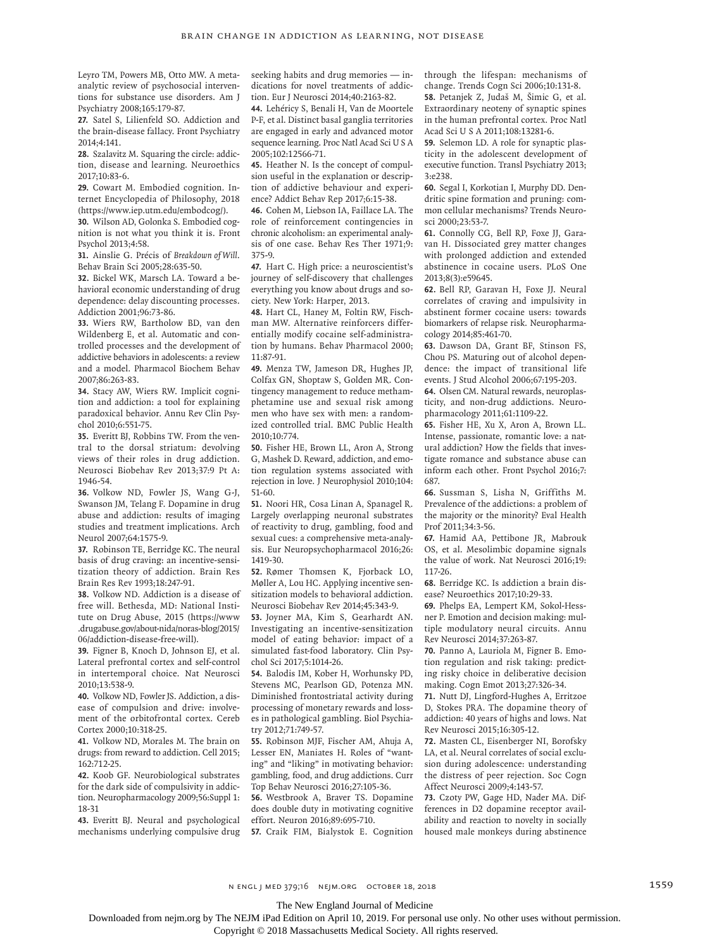Leyro TM, Powers MB, Otto MW. A metaanalytic review of psychosocial interventions for substance use disorders. Am J Psychiatry 2008;165:179-87.

**27.** Satel S, Lilienfeld SO. Addiction and the brain-disease fallacy. Front Psychiatry 2014;4:141.

**28.** Szalavitz M. Squaring the circle: addiction, disease and learning. Neuroethics 2017;10:83-6.

**29.** Cowart M. Embodied cognition. Internet Encyclopedia of Philosophy, 2018 (https://www.iep.utm.edu/embodcog/).

**30.** Wilson AD, Golonka S. Embodied cognition is not what you think it is. Front Psychol 2013;4:58.

**31.** Ainslie G. Précis of *Breakdown of Will*. Behav Brain Sci 2005;28:635-50.

**32.** Bickel WK, Marsch LA. Toward a behavioral economic understanding of drug dependence: delay discounting processes. Addiction 2001;96:73-86.

**33.** Wiers RW, Bartholow BD, van den Wildenberg E, et al. Automatic and controlled processes and the development of addictive behaviors in adolescents: a review and a model. Pharmacol Biochem Behav 2007;86:263-83.

**34.** Stacy AW, Wiers RW. Implicit cognition and addiction: a tool for explaining paradoxical behavior. Annu Rev Clin Psychol 2010;6:551-75.

**35.** Everitt BJ, Robbins TW. From the ventral to the dorsal striatum: devolving views of their roles in drug addiction. Neurosci Biobehav Rev 2013;37:9 Pt A: 1946-54.

**36.** Volkow ND, Fowler JS, Wang G-J, Swanson JM, Telang F. Dopamine in drug abuse and addiction: results of imaging studies and treatment implications. Arch Neurol 2007;64:1575-9.

**37.** Robinson TE, Berridge KC. The neural basis of drug craving: an incentive-sensitization theory of addiction. Brain Res Brain Res Rev 1993;18:247-91.

**38.** Volkow ND. Addiction is a disease of free will. Bethesda, MD: National Institute on Drug Abuse, 2015 (https://www .drugabuse.gov/about-nida/noras-blog/2015/ 06/addiction-disease-free-will).

**39.** Figner B, Knoch D, Johnson EJ, et al. Lateral prefrontal cortex and self-control in intertemporal choice. Nat Neurosci 2010;13:538-9.

**40.** Volkow ND, Fowler JS. Addiction, a disease of compulsion and drive: involvement of the orbitofrontal cortex. Cereb Cortex 2000;10:318-25.

**41.** Volkow ND, Morales M. The brain on drugs: from reward to addiction. Cell 2015; 162:712-25.

**42.** Koob GF. Neurobiological substrates for the dark side of compulsivity in addiction. Neuropharmacology 2009;56:Suppl 1: 18-31

**43.** Everitt BJ. Neural and psychological mechanisms underlying compulsive drug seeking habits and drug memories — indications for novel treatments of addiction. Eur J Neurosci 2014;40:2163-82.

**44.** Lehéricy S, Benali H, Van de Moortele P-F, et al. Distinct basal ganglia territories are engaged in early and advanced motor sequence learning. Proc Natl Acad Sci U S A 2005;102:12566-71.

**45.** Heather N. Is the concept of compulsion useful in the explanation or description of addictive behaviour and experience? Addict Behav Rep 2017;6:15-38.

**46.** Cohen M, Liebson IA, Faillace LA. The role of reinforcement contingencies in chronic alcoholism: an experimental analysis of one case. Behav Res Ther 1971;9: 375-9.

**47.** Hart C. High price: a neuroscientist's journey of self-discovery that challenges everything you know about drugs and society. New York: Harper, 2013.

**48.** Hart CL, Haney M, Foltin RW, Fischman MW. Alternative reinforcers differentially modify cocaine self-administration by humans. Behav Pharmacol 2000; 11:87-91.

**49.** Menza TW, Jameson DR, Hughes JP, Colfax GN, Shoptaw S, Golden MR. Contingency management to reduce methamphetamine use and sexual risk among men who have sex with men: a randomized controlled trial. BMC Public Health 2010;10:774.

**50.** Fisher HE, Brown LL, Aron A, Strong G, Mashek D. Reward, addiction, and emotion regulation systems associated with rejection in love. J Neurophysiol 2010;104: 51-60.

**51.** Noori HR, Cosa Linan A, Spanagel R. Largely overlapping neuronal substrates of reactivity to drug, gambling, food and sexual cues: a comprehensive meta-analysis. Eur Neuropsychopharmacol 2016;26: 1419-30.

**52.** Rømer Thomsen K, Fjorback LO, Møller A, Lou HC. Applying incentive sensitization models to behavioral addiction. Neurosci Biobehav Rev 2014;45:343-9.

**53.** Joyner MA, Kim S, Gearhardt AN. Investigating an incentive-sensitization model of eating behavior: impact of a simulated fast-food laboratory. Clin Psychol Sci 2017;5:1014-26.

**54.** Balodis IM, Kober H, Worhunsky PD, Stevens MC, Pearlson GD, Potenza MN. Diminished frontostriatal activity during processing of monetary rewards and losses in pathological gambling. Biol Psychiatry 2012;71:749-57.

**55.** Robinson MJF, Fischer AM, Ahuja A, Lesser EN, Maniates H. Roles of "wanting" and "liking" in motivating behavior: gambling, food, and drug addictions. Curr Top Behav Neurosci 2016;27:105-36.

**56.** Westbrook A, Braver TS. Dopamine does double duty in motivating cognitive effort. Neuron 2016;89:695-710.

**57.** Craik FIM, Bialystok E. Cognition

through the lifespan: mechanisms of change. Trends Cogn Sci 2006;10:131-8. **58.** Petanjek Z, Judaš M, Šimic G, et al. Extraordinary neoteny of synaptic spines in the human prefrontal cortex. Proc Natl Acad Sci U S A 2011;108:13281-6.

**59.** Selemon LD. A role for synaptic plasticity in the adolescent development of executive function. Transl Psychiatry 2013; 3:e238.

**60.** Segal I, Korkotian I, Murphy DD. Dendritic spine formation and pruning: common cellular mechanisms? Trends Neurosci 2000;23:53-7.

**61.** Connolly CG, Bell RP, Foxe JJ, Garavan H. Dissociated grey matter changes with prolonged addiction and extended abstinence in cocaine users. PLoS One 2013;8(3):e59645.

**62.** Bell RP, Garavan H, Foxe JJ. Neural correlates of craving and impulsivity in abstinent former cocaine users: towards biomarkers of relapse risk. Neuropharmacology 2014;85:461-70.

**63.** Dawson DA, Grant BF, Stinson FS, Chou PS. Maturing out of alcohol dependence: the impact of transitional life events. J Stud Alcohol 2006;67:195-203.

**64.** Olsen CM. Natural rewards, neuroplasticity, and non-drug addictions. Neuropharmacology 2011;61:1109-22.

**65.** Fisher HE, Xu X, Aron A, Brown LL. Intense, passionate, romantic love: a natural addiction? How the fields that investigate romance and substance abuse can inform each other. Front Psychol 2016;7: 687.

**66.** Sussman S, Lisha N, Griffiths M. Prevalence of the addictions: a problem of the majority or the minority? Eval Health Prof 2011;34:3-56.

**67.** Hamid AA, Pettibone JR, Mabrouk OS, et al. Mesolimbic dopamine signals the value of work. Nat Neurosci 2016;19: 117-26.

**68.** Berridge KC. Is addiction a brain disease? Neuroethics 2017;10:29-33.

**69.** Phelps EA, Lempert KM, Sokol-Hessner P. Emotion and decision making: multiple modulatory neural circuits. Annu Rev Neurosci 2014;37:263-87.

**70.** Panno A, Lauriola M, Figner B. Emotion regulation and risk taking: predicting risky choice in deliberative decision making. Cogn Emot 2013;27:326-34.

**71.** Nutt DJ, Lingford-Hughes A, Erritzoe D, Stokes PRA. The dopamine theory of addiction: 40 years of highs and lows. Nat Rev Neurosci 2015;16:305-12.

**72.** Masten CL, Eisenberger NI, Borofsky LA, et al. Neural correlates of social exclusion during adolescence: understanding the distress of peer rejection. Soc Cogn Affect Neurosci 2009;4:143-57.

**73.** Czoty PW, Gage HD, Nader MA. Differences in D2 dopamine receptor availability and reaction to novelty in socially housed male monkeys during abstinence

n engl j med 379;16 nejm.org October 18, 2018 1559 1559

The New England Journal of Medicine

Downloaded from nejm.org by The NEJM iPad Edition on April 10, 2019. For personal use only. No other uses without permission.